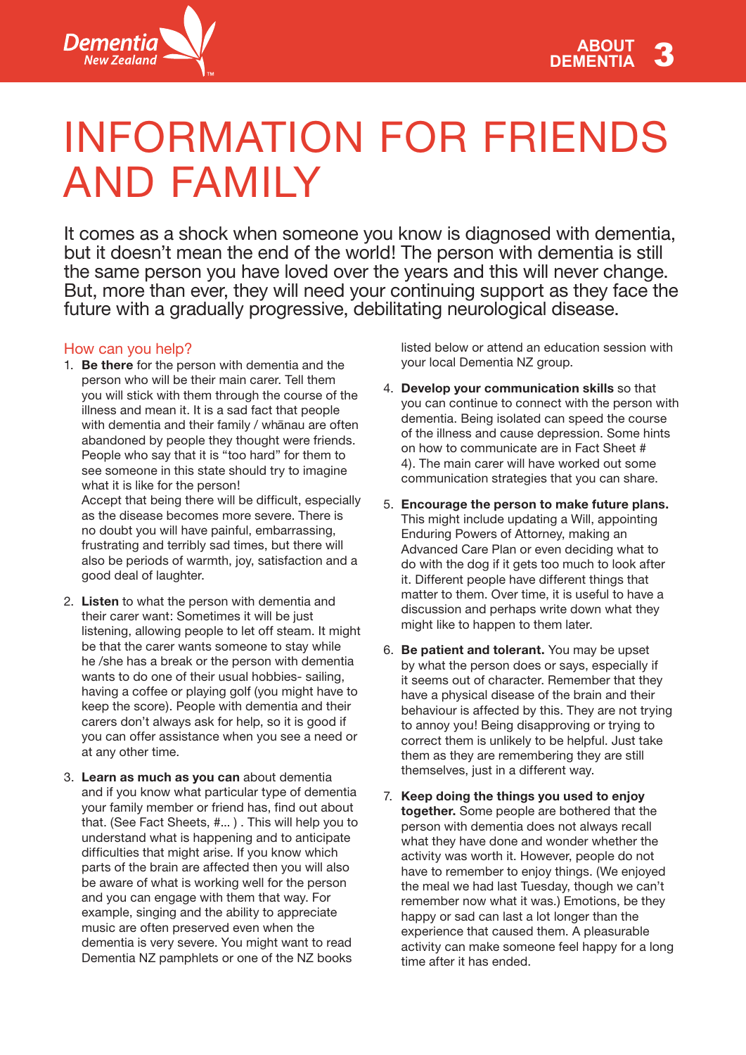

# INFORMATION FOR FRIENDS AND FAMILY

It comes as a shock when someone you know is diagnosed with dementia, but it doesn't mean the end of the world! The person with dementia is still the same person you have loved over the years and this will never change. But, more than ever, they will need your continuing support as they face the future with a gradually progressive, debilitating neurological disease.

#### How can you help?

- 1. **Be there** for the person with dementia and the person who will be their main carer. Tell them you will stick with them through the course of the illness and mean it. It is a sad fact that people with dementia and their family / whanau are often abandoned by people they thought were friends. People who say that it is "too hard" for them to see someone in this state should try to imagine what it is like for the person! Accept that being there will be difficult, especially as the disease becomes more severe. There is no doubt you will have painful, embarrassing, frustrating and terribly sad times, but there will
- also be periods of warmth, joy, satisfaction and a good deal of laughter. 2. **Listen** to what the person with dementia and
- their carer want: Sometimes it will be just listening, allowing people to let off steam. It might be that the carer wants someone to stay while he /she has a break or the person with dementia wants to do one of their usual hobbies- sailing, having a coffee or playing golf (you might have to keep the score). People with dementia and their carers don't always ask for help, so it is good if you can offer assistance when you see a need or at any other time.
- 3. **Learn as much as you can** about dementia and if you know what particular type of dementia your family member or friend has, find out about that. (See Fact Sheets, #... ) . This will help you to understand what is happening and to anticipate difficulties that might arise. If you know which parts of the brain are affected then you will also be aware of what is working well for the person and you can engage with them that way. For example, singing and the ability to appreciate music are often preserved even when the dementia is very severe. You might want to read Dementia NZ pamphlets or one of the NZ books

listed below or attend an education session with your local Dementia NZ group.

- 4. **Develop your communication skills** so that you can continue to connect with the person with dementia. Being isolated can speed the course of the illness and cause depression. Some hints on how to communicate are in Fact Sheet # 4). The main carer will have worked out some communication strategies that you can share.
- 5. **Encourage the person to make future plans.** This might include updating a Will, appointing Enduring Powers of Attorney, making an Advanced Care Plan or even deciding what to do with the dog if it gets too much to look after it. Different people have different things that matter to them. Over time, it is useful to have a discussion and perhaps write down what they might like to happen to them later.
- 6. **Be patient and tolerant.** You may be upset by what the person does or says, especially if it seems out of character. Remember that they have a physical disease of the brain and their behaviour is affected by this. They are not trying to annoy you! Being disapproving or trying to correct them is unlikely to be helpful. Just take them as they are remembering they are still themselves, just in a different way.
- 7. **Keep doing the things you used to enjoy together.** Some people are bothered that the person with dementia does not always recall what they have done and wonder whether the activity was worth it. However, people do not have to remember to enjoy things. (We enjoyed the meal we had last Tuesday, though we can't remember now what it was.) Emotions, be they happy or sad can last a lot longer than the experience that caused them. A pleasurable activity can make someone feel happy for a long time after it has ended.